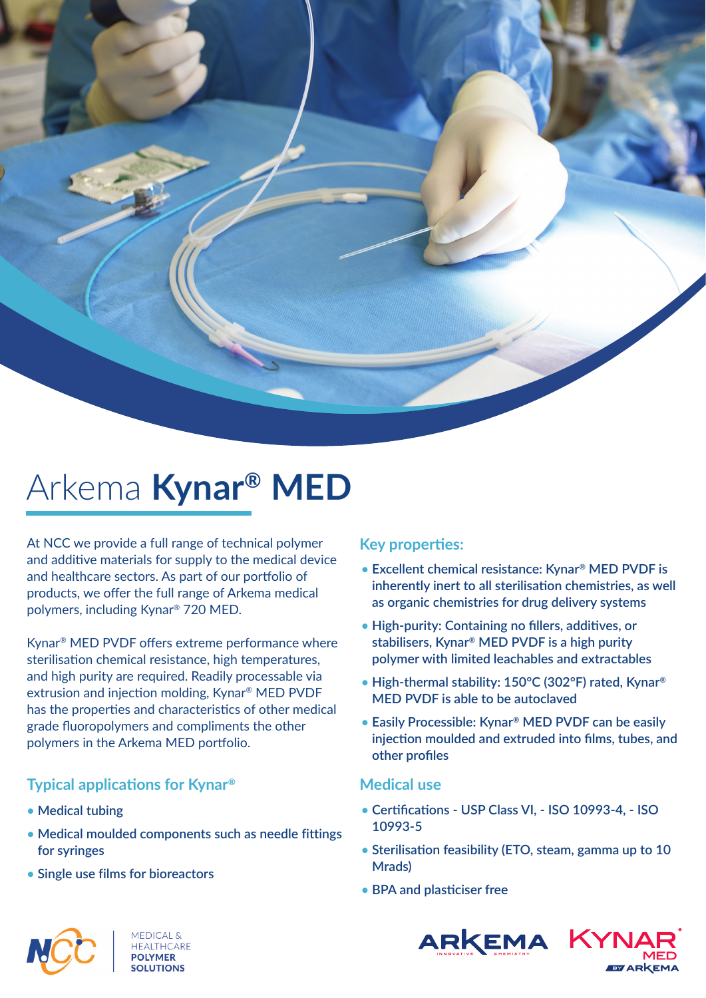

# Arkema **Kynar® MED**

At NCC we provide a full range of technical polymer and additive materials for supply to the medical device and healthcare sectors. As part of our portfolio of products, we offer the full range of Arkema medical polymers, including Kynar® 720 MED.

Kynar<sup>®</sup> MED PVDF offers extreme performance where sterilisation chemical resistance, high temperatures, and high purity are required. Readily processable via extrusion and injection molding, Kynar® MED PVDF has the properties and characteristics of other medical grade fluoropolymers and compliments the other polymers in the Arkema MED portfolio.

# **Typical applications for Kynar<sup>®</sup>**

- **Medical tubing**
- **Medical moulded components such as needle fittings for syringes**
- **• Single use films for bioreactors**

# **Key properties:**

- **Excellent chemical resistance: Kynar® MED PVDF is inherently inert to all sterilisation chemistries, as well as organic chemistries for drug delivery systems**
- High-purity: Containing no fillers, additives, or **stabilisers, Kynar® MED PVDF is a high purity polymer with limited leachables and extractables**
- **• High-thermal stability: 150°C (302°F) rated, Kynar® MED PVDF is able to be autoclaved**
- **Easily Processible: Kynar® MED PVDF can be easily**  injection moulded and extruded into films, tubes, and **other profiles**

## **Medical use**

- Certifications USP Class VI, ISO 10993-4, ISO **10993-5**
- Sterilisation feasibility (ETO, steam, gamma up to 10 **Mrads)**
- **BPA and plasticiser free**